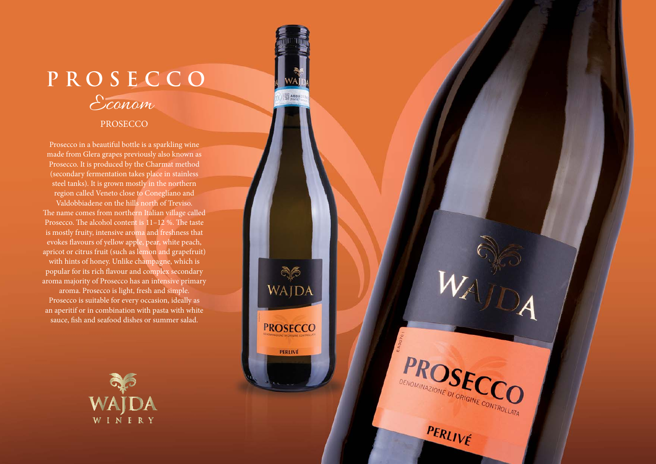## Econom **PROSECCO**

**SEABBH** 

WAJDA

**PROSECCO** 

PERLIVÉ

**PROSECCO** 

DENOMINAZIONE DI ORIGINE CONTROLLATA

PERLIVÉ

## PROSECCO

Prosecco in a beautiful bottle is a sparkling wine made from Glera grapes previously also known as Prosecco. It is produced by the Charmat method (secondary fermentation takes place in stainless steel tanks). It is grown mostly in the northern region called Veneto close to Conegliano and Valdobbiadene on the hills north of Treviso. The name comes from northern Italian village called Prosecco. The alcohol content is  $11-12$  %. The taste is mostly fruity, intensive aroma and freshness that evokes flavours of yellow apple, pear, white peach, apricot or citrus fruit (such as lemon and grapefruit) with hints of honey. Unlike champagne, which is popular for its rich flavour and complex secondary aroma majority of Prosecco has an intensive primary aroma. Prosecco is light, fresh and simple. Prosecco is suitable for every occasion, ideally as an aperitif or in combination with pasta with white sauce, fish and seafood dishes or summer salad.